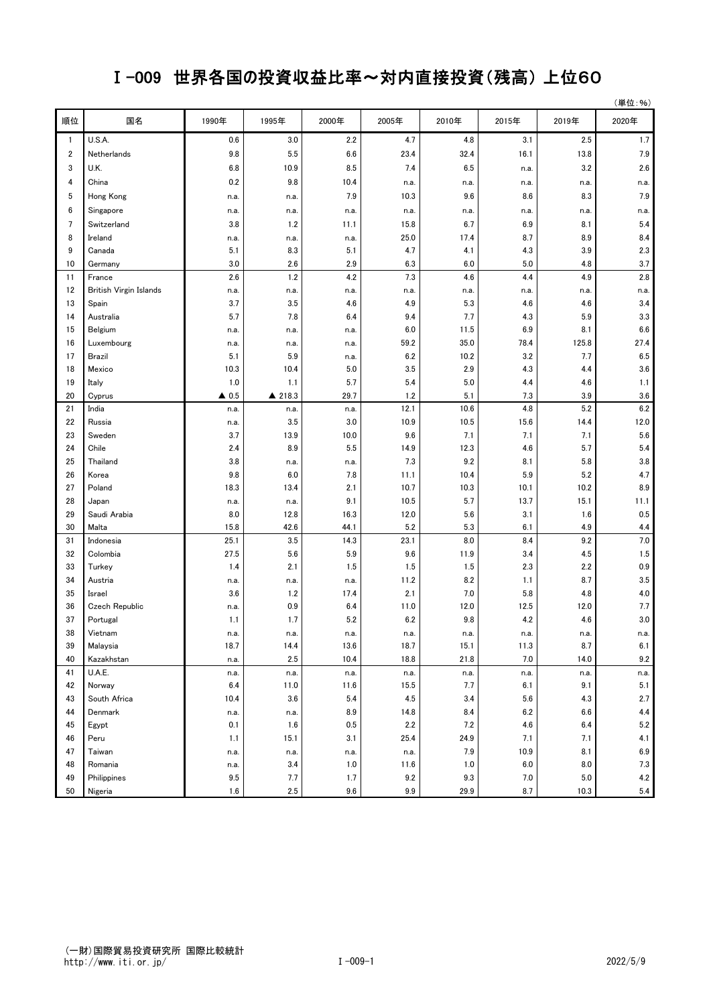## Ⅰ-009 世界各国の投資収益比率~対内直接投資(残高) 上位60

| 順位<br>国名<br>2000年<br>2020年<br>1990年<br>1995年<br>2005年<br>2010年<br>2015年<br>2019年<br>U.S.A.<br>0.6<br>3.0<br>2.2<br>4.7<br>4.8<br>3.1<br>2.5<br>1.7<br>$\mathbf{1}$<br>7.9<br>$\overline{\mathbf{c}}$<br>9.8<br>5.5<br>6.6<br>23.4<br>32.4<br>16.1<br>13.8<br>Netherlands<br>3<br>10.9<br>8.5<br>7.4<br>6.5<br>2.6<br>U.K.<br>6.8<br>3.2<br>n.a.<br>0.2<br>9.8<br>4<br>China<br>10.4<br>n.a.<br>n.a.<br>n.a.<br>n.a.<br>n.a.<br>10.3<br>9.6<br>7.9<br>5<br>Hong Kong<br>7.9<br>8.6<br>8.3<br>n.a.<br>n.a.<br>6<br>Singapore<br>n.a.<br>n.a.<br>n.a.<br>n.a.<br>n.a.<br>n.a.<br>n.a.<br>n.a.<br>$7\overline{ }$<br>3.8<br>1.2<br>15.8<br>5.4<br>Switzerland<br>11.1<br>6.7<br>6.9<br>8.1<br>8<br>25.0<br>8.7<br>8.4<br>Ireland<br>17.4<br>8.9<br>n.a.<br>n.a.<br>n.a.<br>9<br>4.7<br>3.9<br>2.3<br>Canada<br>5.1<br>8.3<br>5.1<br>4.1<br>4.3<br>10<br>3.0<br>2.6<br>2.9<br>6.3<br>6.0<br>5.0<br>3.7<br>4.8<br>Germany<br>4.2<br>7.3<br>4.4<br>2.8<br>2.6<br>1.2<br>4.6<br>4.9<br>11<br>France<br>12<br>British Virgin Islands<br>n.a.<br>n.a.<br>n.a.<br>n.a.<br>n.a.<br>n.a.<br>n.a.<br>n.a.<br>13<br>3.7<br>3.5<br>4.9<br>5.3<br>3.4<br>4.6<br>4.6<br>4.6<br>Spain<br>3.3<br>5.7<br>7.8<br>7.7<br>14<br>Australia<br>6.4<br>9.4<br>4.3<br>5.9<br>6.9<br>6.6<br>15<br>Belgium<br>6.0<br>11.5<br>8.1<br>n.a.<br>n.a.<br>n.a.<br>59.2<br>35.0<br>78.4<br>125.8<br>27.4<br>16<br>Luxembourg<br>n.a.<br>n.a.<br>n.a.<br>5.1<br>5.9<br>6.2<br>10.2<br>3.2<br>7.7<br>6.5<br>17<br>Brazil<br>n.a.<br>2.9<br>10.3<br>5.0<br>3.5<br>4.3<br>3.6<br>18<br>Mexico<br>10.4<br>4.4<br>1.0<br>5.7<br>5.4<br>5.0<br>1.1<br>19<br>1.1<br>4.4<br>4.6<br>Italy<br>20<br>$\triangle$ 0.5<br>▲ 218.3<br>29.7<br>1.2<br>5.1<br>7.3<br>3.9<br>3.6<br>Cyprus<br>21<br>6.2<br>India<br>12.1<br>10.6<br>4.8<br>5.2<br>n.a.<br>n.a.<br>n.a.<br>3.5<br>10.5<br>12.0<br>22<br>Russia<br>3.0<br>10.9<br>15.6<br>14.4<br>n.a.<br>5.6<br>23<br>Sweden<br>3.7<br>13.9<br>10.0<br>9.6<br>7.1<br>7.1<br>7.1 |
|-------------------------------------------------------------------------------------------------------------------------------------------------------------------------------------------------------------------------------------------------------------------------------------------------------------------------------------------------------------------------------------------------------------------------------------------------------------------------------------------------------------------------------------------------------------------------------------------------------------------------------------------------------------------------------------------------------------------------------------------------------------------------------------------------------------------------------------------------------------------------------------------------------------------------------------------------------------------------------------------------------------------------------------------------------------------------------------------------------------------------------------------------------------------------------------------------------------------------------------------------------------------------------------------------------------------------------------------------------------------------------------------------------------------------------------------------------------------------------------------------------------------------------------------------------------------------------------------------------------------------------------------------------------------------------------------------------------------------------------------------------------------------------------------------------------------------------------------------------------------------------------------------------------------------------------------------------------------------|
|                                                                                                                                                                                                                                                                                                                                                                                                                                                                                                                                                                                                                                                                                                                                                                                                                                                                                                                                                                                                                                                                                                                                                                                                                                                                                                                                                                                                                                                                                                                                                                                                                                                                                                                                                                                                                                                                                                                                                                         |
|                                                                                                                                                                                                                                                                                                                                                                                                                                                                                                                                                                                                                                                                                                                                                                                                                                                                                                                                                                                                                                                                                                                                                                                                                                                                                                                                                                                                                                                                                                                                                                                                                                                                                                                                                                                                                                                                                                                                                                         |
|                                                                                                                                                                                                                                                                                                                                                                                                                                                                                                                                                                                                                                                                                                                                                                                                                                                                                                                                                                                                                                                                                                                                                                                                                                                                                                                                                                                                                                                                                                                                                                                                                                                                                                                                                                                                                                                                                                                                                                         |
|                                                                                                                                                                                                                                                                                                                                                                                                                                                                                                                                                                                                                                                                                                                                                                                                                                                                                                                                                                                                                                                                                                                                                                                                                                                                                                                                                                                                                                                                                                                                                                                                                                                                                                                                                                                                                                                                                                                                                                         |
|                                                                                                                                                                                                                                                                                                                                                                                                                                                                                                                                                                                                                                                                                                                                                                                                                                                                                                                                                                                                                                                                                                                                                                                                                                                                                                                                                                                                                                                                                                                                                                                                                                                                                                                                                                                                                                                                                                                                                                         |
|                                                                                                                                                                                                                                                                                                                                                                                                                                                                                                                                                                                                                                                                                                                                                                                                                                                                                                                                                                                                                                                                                                                                                                                                                                                                                                                                                                                                                                                                                                                                                                                                                                                                                                                                                                                                                                                                                                                                                                         |
|                                                                                                                                                                                                                                                                                                                                                                                                                                                                                                                                                                                                                                                                                                                                                                                                                                                                                                                                                                                                                                                                                                                                                                                                                                                                                                                                                                                                                                                                                                                                                                                                                                                                                                                                                                                                                                                                                                                                                                         |
|                                                                                                                                                                                                                                                                                                                                                                                                                                                                                                                                                                                                                                                                                                                                                                                                                                                                                                                                                                                                                                                                                                                                                                                                                                                                                                                                                                                                                                                                                                                                                                                                                                                                                                                                                                                                                                                                                                                                                                         |
|                                                                                                                                                                                                                                                                                                                                                                                                                                                                                                                                                                                                                                                                                                                                                                                                                                                                                                                                                                                                                                                                                                                                                                                                                                                                                                                                                                                                                                                                                                                                                                                                                                                                                                                                                                                                                                                                                                                                                                         |
|                                                                                                                                                                                                                                                                                                                                                                                                                                                                                                                                                                                                                                                                                                                                                                                                                                                                                                                                                                                                                                                                                                                                                                                                                                                                                                                                                                                                                                                                                                                                                                                                                                                                                                                                                                                                                                                                                                                                                                         |
|                                                                                                                                                                                                                                                                                                                                                                                                                                                                                                                                                                                                                                                                                                                                                                                                                                                                                                                                                                                                                                                                                                                                                                                                                                                                                                                                                                                                                                                                                                                                                                                                                                                                                                                                                                                                                                                                                                                                                                         |
|                                                                                                                                                                                                                                                                                                                                                                                                                                                                                                                                                                                                                                                                                                                                                                                                                                                                                                                                                                                                                                                                                                                                                                                                                                                                                                                                                                                                                                                                                                                                                                                                                                                                                                                                                                                                                                                                                                                                                                         |
|                                                                                                                                                                                                                                                                                                                                                                                                                                                                                                                                                                                                                                                                                                                                                                                                                                                                                                                                                                                                                                                                                                                                                                                                                                                                                                                                                                                                                                                                                                                                                                                                                                                                                                                                                                                                                                                                                                                                                                         |
|                                                                                                                                                                                                                                                                                                                                                                                                                                                                                                                                                                                                                                                                                                                                                                                                                                                                                                                                                                                                                                                                                                                                                                                                                                                                                                                                                                                                                                                                                                                                                                                                                                                                                                                                                                                                                                                                                                                                                                         |
|                                                                                                                                                                                                                                                                                                                                                                                                                                                                                                                                                                                                                                                                                                                                                                                                                                                                                                                                                                                                                                                                                                                                                                                                                                                                                                                                                                                                                                                                                                                                                                                                                                                                                                                                                                                                                                                                                                                                                                         |
|                                                                                                                                                                                                                                                                                                                                                                                                                                                                                                                                                                                                                                                                                                                                                                                                                                                                                                                                                                                                                                                                                                                                                                                                                                                                                                                                                                                                                                                                                                                                                                                                                                                                                                                                                                                                                                                                                                                                                                         |
|                                                                                                                                                                                                                                                                                                                                                                                                                                                                                                                                                                                                                                                                                                                                                                                                                                                                                                                                                                                                                                                                                                                                                                                                                                                                                                                                                                                                                                                                                                                                                                                                                                                                                                                                                                                                                                                                                                                                                                         |
|                                                                                                                                                                                                                                                                                                                                                                                                                                                                                                                                                                                                                                                                                                                                                                                                                                                                                                                                                                                                                                                                                                                                                                                                                                                                                                                                                                                                                                                                                                                                                                                                                                                                                                                                                                                                                                                                                                                                                                         |
|                                                                                                                                                                                                                                                                                                                                                                                                                                                                                                                                                                                                                                                                                                                                                                                                                                                                                                                                                                                                                                                                                                                                                                                                                                                                                                                                                                                                                                                                                                                                                                                                                                                                                                                                                                                                                                                                                                                                                                         |
|                                                                                                                                                                                                                                                                                                                                                                                                                                                                                                                                                                                                                                                                                                                                                                                                                                                                                                                                                                                                                                                                                                                                                                                                                                                                                                                                                                                                                                                                                                                                                                                                                                                                                                                                                                                                                                                                                                                                                                         |
|                                                                                                                                                                                                                                                                                                                                                                                                                                                                                                                                                                                                                                                                                                                                                                                                                                                                                                                                                                                                                                                                                                                                                                                                                                                                                                                                                                                                                                                                                                                                                                                                                                                                                                                                                                                                                                                                                                                                                                         |
|                                                                                                                                                                                                                                                                                                                                                                                                                                                                                                                                                                                                                                                                                                                                                                                                                                                                                                                                                                                                                                                                                                                                                                                                                                                                                                                                                                                                                                                                                                                                                                                                                                                                                                                                                                                                                                                                                                                                                                         |
|                                                                                                                                                                                                                                                                                                                                                                                                                                                                                                                                                                                                                                                                                                                                                                                                                                                                                                                                                                                                                                                                                                                                                                                                                                                                                                                                                                                                                                                                                                                                                                                                                                                                                                                                                                                                                                                                                                                                                                         |
|                                                                                                                                                                                                                                                                                                                                                                                                                                                                                                                                                                                                                                                                                                                                                                                                                                                                                                                                                                                                                                                                                                                                                                                                                                                                                                                                                                                                                                                                                                                                                                                                                                                                                                                                                                                                                                                                                                                                                                         |
| 5.4<br>Chile<br>2.4<br>8.9<br>5.5<br>12.3<br>4.6<br>5.7<br>24<br>14.9                                                                                                                                                                                                                                                                                                                                                                                                                                                                                                                                                                                                                                                                                                                                                                                                                                                                                                                                                                                                                                                                                                                                                                                                                                                                                                                                                                                                                                                                                                                                                                                                                                                                                                                                                                                                                                                                                                   |
| 7.3<br>9.2<br>8.1<br>3.8<br>25<br>Thailand<br>3.8<br>5.8<br>n.a.<br>n.a.                                                                                                                                                                                                                                                                                                                                                                                                                                                                                                                                                                                                                                                                                                                                                                                                                                                                                                                                                                                                                                                                                                                                                                                                                                                                                                                                                                                                                                                                                                                                                                                                                                                                                                                                                                                                                                                                                                |
| 4.7<br>26<br>9.8<br>6.0<br>10.4<br>5.9<br>5.2<br>Korea<br>7.8<br>11.1                                                                                                                                                                                                                                                                                                                                                                                                                                                                                                                                                                                                                                                                                                                                                                                                                                                                                                                                                                                                                                                                                                                                                                                                                                                                                                                                                                                                                                                                                                                                                                                                                                                                                                                                                                                                                                                                                                   |
| 27<br>18.3<br>2.1<br>10.7<br>10.3<br>8.9<br>Poland<br>13.4<br>10.1<br>10.2                                                                                                                                                                                                                                                                                                                                                                                                                                                                                                                                                                                                                                                                                                                                                                                                                                                                                                                                                                                                                                                                                                                                                                                                                                                                                                                                                                                                                                                                                                                                                                                                                                                                                                                                                                                                                                                                                              |
| 28<br>9.1<br>10.5<br>5.7<br>13.7<br>15.1<br>11.1<br>Japan<br>n.a.<br>n.a.                                                                                                                                                                                                                                                                                                                                                                                                                                                                                                                                                                                                                                                                                                                                                                                                                                                                                                                                                                                                                                                                                                                                                                                                                                                                                                                                                                                                                                                                                                                                                                                                                                                                                                                                                                                                                                                                                               |
| 29<br>Saudi Arabia<br>8.0<br>12.8<br>16.3<br>12.0<br>5.6<br>0.5<br>3.1<br>1.6                                                                                                                                                                                                                                                                                                                                                                                                                                                                                                                                                                                                                                                                                                                                                                                                                                                                                                                                                                                                                                                                                                                                                                                                                                                                                                                                                                                                                                                                                                                                                                                                                                                                                                                                                                                                                                                                                           |
| 5.2<br>30<br>42.6<br>44.1<br>5.3<br>6.1<br>4.9<br>Malta<br>15.8<br>4.4                                                                                                                                                                                                                                                                                                                                                                                                                                                                                                                                                                                                                                                                                                                                                                                                                                                                                                                                                                                                                                                                                                                                                                                                                                                                                                                                                                                                                                                                                                                                                                                                                                                                                                                                                                                                                                                                                                  |
| 3.5<br>7.0<br>31<br>Indonesia<br>25.1<br>14.3<br>23.1<br>8.0<br>8.4<br>9.2                                                                                                                                                                                                                                                                                                                                                                                                                                                                                                                                                                                                                                                                                                                                                                                                                                                                                                                                                                                                                                                                                                                                                                                                                                                                                                                                                                                                                                                                                                                                                                                                                                                                                                                                                                                                                                                                                              |
| 1.5<br>32<br>27.5<br>5.6<br>5.9<br>9.6<br>11.9<br>3.4<br>4.5<br>Colombia                                                                                                                                                                                                                                                                                                                                                                                                                                                                                                                                                                                                                                                                                                                                                                                                                                                                                                                                                                                                                                                                                                                                                                                                                                                                                                                                                                                                                                                                                                                                                                                                                                                                                                                                                                                                                                                                                                |
| 1.5<br>0.9<br>2.1<br>1.5<br>1.5<br>2.3<br>33<br>Turkey<br>1.4<br>2.2                                                                                                                                                                                                                                                                                                                                                                                                                                                                                                                                                                                                                                                                                                                                                                                                                                                                                                                                                                                                                                                                                                                                                                                                                                                                                                                                                                                                                                                                                                                                                                                                                                                                                                                                                                                                                                                                                                    |
| 8.2<br>8.7<br>3.5<br>34<br>Austria<br>11.2<br>1.1<br>n.a.<br>n.a.<br>n.a.                                                                                                                                                                                                                                                                                                                                                                                                                                                                                                                                                                                                                                                                                                                                                                                                                                                                                                                                                                                                                                                                                                                                                                                                                                                                                                                                                                                                                                                                                                                                                                                                                                                                                                                                                                                                                                                                                               |
| 1.2<br>2.1<br>7.0<br>4.0<br>35<br>3.6<br>17.4<br>5.8<br>4.8<br>Israel                                                                                                                                                                                                                                                                                                                                                                                                                                                                                                                                                                                                                                                                                                                                                                                                                                                                                                                                                                                                                                                                                                                                                                                                                                                                                                                                                                                                                                                                                                                                                                                                                                                                                                                                                                                                                                                                                                   |
| 0.9<br>7.7<br>36<br><b>Czech Republic</b><br>6.4<br>11.0<br>12.0<br>12.5<br>12.0<br>n.a.                                                                                                                                                                                                                                                                                                                                                                                                                                                                                                                                                                                                                                                                                                                                                                                                                                                                                                                                                                                                                                                                                                                                                                                                                                                                                                                                                                                                                                                                                                                                                                                                                                                                                                                                                                                                                                                                                |
| 3.0<br>37<br>1.7<br>5.2<br>6.2<br>9.8<br>4.2<br>4.6<br>Portugal<br>1.1                                                                                                                                                                                                                                                                                                                                                                                                                                                                                                                                                                                                                                                                                                                                                                                                                                                                                                                                                                                                                                                                                                                                                                                                                                                                                                                                                                                                                                                                                                                                                                                                                                                                                                                                                                                                                                                                                                  |
| 38<br>Vietnam<br>n.a.<br>n.a.<br>n.a.<br>n.a.<br>n.a.<br>n.a.<br>n.a.<br>n.a.                                                                                                                                                                                                                                                                                                                                                                                                                                                                                                                                                                                                                                                                                                                                                                                                                                                                                                                                                                                                                                                                                                                                                                                                                                                                                                                                                                                                                                                                                                                                                                                                                                                                                                                                                                                                                                                                                           |
| 39<br>Malaysia<br>18.7<br>14.4<br>13.6<br>18.7<br>15.1<br>11.3<br>8.7<br>6.1                                                                                                                                                                                                                                                                                                                                                                                                                                                                                                                                                                                                                                                                                                                                                                                                                                                                                                                                                                                                                                                                                                                                                                                                                                                                                                                                                                                                                                                                                                                                                                                                                                                                                                                                                                                                                                                                                            |
| 2.5<br>40<br>Kazakhstan<br>10.4<br>18.8<br>21.8<br>7.0<br>14.0<br>9.2<br>n.a.                                                                                                                                                                                                                                                                                                                                                                                                                                                                                                                                                                                                                                                                                                                                                                                                                                                                                                                                                                                                                                                                                                                                                                                                                                                                                                                                                                                                                                                                                                                                                                                                                                                                                                                                                                                                                                                                                           |
| 41<br>U.A.E.<br>n.a.<br>n.a.<br>n.a.<br>n.a.<br>n.a.<br>n.a.<br>n.a.<br>n.a.                                                                                                                                                                                                                                                                                                                                                                                                                                                                                                                                                                                                                                                                                                                                                                                                                                                                                                                                                                                                                                                                                                                                                                                                                                                                                                                                                                                                                                                                                                                                                                                                                                                                                                                                                                                                                                                                                            |
| 7.7<br>42<br>6.4<br>11.0<br>11.6<br>15.5<br>6.1<br>9.1<br>5.1<br>Norway                                                                                                                                                                                                                                                                                                                                                                                                                                                                                                                                                                                                                                                                                                                                                                                                                                                                                                                                                                                                                                                                                                                                                                                                                                                                                                                                                                                                                                                                                                                                                                                                                                                                                                                                                                                                                                                                                                 |
| 3.6<br>2.7<br>43<br>South Africa<br>10.4<br>5.4<br>4.5<br>3.4<br>5.6<br>4.3                                                                                                                                                                                                                                                                                                                                                                                                                                                                                                                                                                                                                                                                                                                                                                                                                                                                                                                                                                                                                                                                                                                                                                                                                                                                                                                                                                                                                                                                                                                                                                                                                                                                                                                                                                                                                                                                                             |
| 8.9<br>8.4<br>6.2<br>4.4<br>44<br>Denmark<br>14.8<br>6.6<br>n.a.<br>n.a.                                                                                                                                                                                                                                                                                                                                                                                                                                                                                                                                                                                                                                                                                                                                                                                                                                                                                                                                                                                                                                                                                                                                                                                                                                                                                                                                                                                                                                                                                                                                                                                                                                                                                                                                                                                                                                                                                                |
| 0.1<br>1.6<br>0.5<br>$2.2\,$<br>7.2<br>4.6<br>6.4<br>$5.2\,$<br>45<br>Egypt                                                                                                                                                                                                                                                                                                                                                                                                                                                                                                                                                                                                                                                                                                                                                                                                                                                                                                                                                                                                                                                                                                                                                                                                                                                                                                                                                                                                                                                                                                                                                                                                                                                                                                                                                                                                                                                                                             |
| 46<br>Peru<br>15.1<br>3.1<br>25.4<br>24.9<br>4.1<br>1.1<br>7.1<br>7.1<br>7.9<br>10.9<br>6.9<br>47                                                                                                                                                                                                                                                                                                                                                                                                                                                                                                                                                                                                                                                                                                                                                                                                                                                                                                                                                                                                                                                                                                                                                                                                                                                                                                                                                                                                                                                                                                                                                                                                                                                                                                                                                                                                                                                                       |
| Taiwan<br>8.1<br>n.a.<br>n.a.<br>n.a.<br>n.a.<br>3.4<br>1.0<br>1.0<br>6.0<br>8.0<br>7.3<br>48<br>Romania                                                                                                                                                                                                                                                                                                                                                                                                                                                                                                                                                                                                                                                                                                                                                                                                                                                                                                                                                                                                                                                                                                                                                                                                                                                                                                                                                                                                                                                                                                                                                                                                                                                                                                                                                                                                                                                                |
| 11.6<br>n.a.<br>Philippines<br>9.5<br>7.7<br>1.7<br>9.2<br>9.3<br>7.0<br>5.0<br>4.2<br>49                                                                                                                                                                                                                                                                                                                                                                                                                                                                                                                                                                                                                                                                                                                                                                                                                                                                                                                                                                                                                                                                                                                                                                                                                                                                                                                                                                                                                                                                                                                                                                                                                                                                                                                                                                                                                                                                               |
| 50<br>1.6<br>2.5<br>9.6<br>9.9<br>29.9<br>8.7<br>10.3<br>5.4<br>Nigeria                                                                                                                                                                                                                                                                                                                                                                                                                                                                                                                                                                                                                                                                                                                                                                                                                                                                                                                                                                                                                                                                                                                                                                                                                                                                                                                                                                                                                                                                                                                                                                                                                                                                                                                                                                                                                                                                                                 |